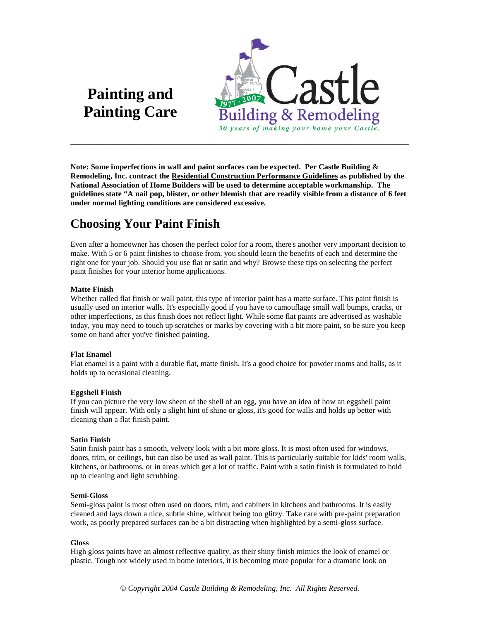# **Painting and Painting Care**



**Note: Some imperfections in wall and paint surfaces can be expected. Per Castle Building & Remodeling, Inc. contract the Residential Construction Performance Guidelines as published by the National Association of Home Builders will be used to determine acceptable workmanship. The guidelines state "A nail pop, blister, or other blemish that are readily visible from a distance of 6 feet under normal lighting conditions are considered excessive.**

# **Choosing Your Paint Finish**

Even after a homeowner has chosen the perfect color for a room, there's another very important decision to make. With 5 or 6 paint finishes to choose from, you should learn the benefits of each and determine the right one for your job. Should you use flat or satin and why? Browse these tips on selecting the perfect paint finishes for your interior home applications.

#### **Matte Finish**

Whether called flat finish or wall paint, this type of interior paint has a matte surface. This paint finish is usually used on interior walls. It's especially good if you have to camouflage small wall bumps, cracks, or other imperfections, as this finish does not reflect light. While some flat paints are advertised as washable today, you may need to touch up scratches or marks by covering with a bit more paint, so be sure you keep some on hand after you've finished painting.

#### **Flat Enamel**

Flat enamel is a paint with a durable flat, matte finish. It's a good choice for powder rooms and halls, as it holds up to occasional cleaning.

#### **Eggshell Finish**

If you can picture the very low sheen of the shell of an egg, you have an idea of how an eggshell paint finish will appear. With only a slight hint of shine or gloss, it's good for walls and holds up better with cleaning than a flat finish paint.

#### **Satin Finish**

Satin finish paint has a smooth, velvety look with a bit more gloss. It is most often used for windows, doors, trim, or ceilings, but can also be used as wall paint. This is particularly suitable for kids' room walls, kitchens, or bathrooms, or in areas which get a lot of traffic. Paint with a satin finish is formulated to hold up to cleaning and light scrubbing.

#### **Semi-Gloss**

Semi-gloss paint is most often used on doors, trim, and cabinets in kitchens and bathrooms. It is easily cleaned and lays down a nice, subtle shine, without being too glitzy. Take care with pre-paint preparation work, as poorly prepared surfaces can be a bit distracting when highlighted by a semi-gloss surface.

#### **Gloss**

High gloss paints have an almost reflective quality, as their shiny finish mimics the look of enamel or plastic. Tough not widely used in home interiors, it is becoming more popular for a dramatic look on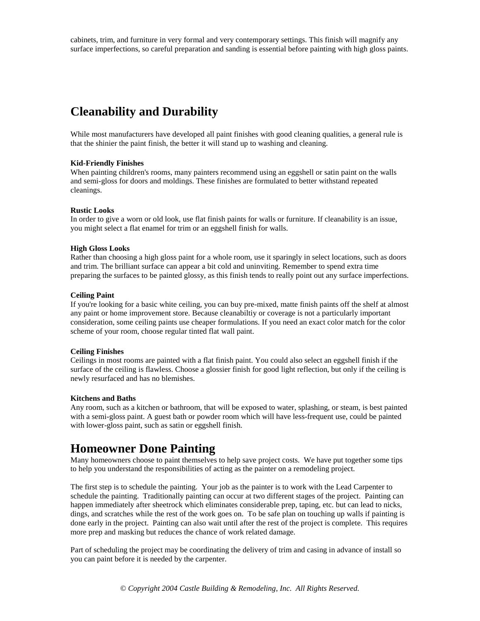cabinets, trim, and furniture in very formal and very contemporary settings. This finish will magnify any surface imperfections, so careful preparation and sanding is essential before painting with high gloss paints.

# **Cleanability and Durability**

While most manufacturers have developed all paint finishes with good cleaning qualities, a general rule is that the shinier the paint finish, the better it will stand up to washing and cleaning.

#### **Kid-Friendly Finishes**

When painting children's rooms, many painters recommend using an eggshell or satin paint on the walls and semi-gloss for doors and moldings. These finishes are formulated to better withstand repeated cleanings.

#### **Rustic Looks**

In order to give a worn or old look, use flat finish paints for walls or furniture. If cleanability is an issue, you might select a flat enamel for trim or an eggshell finish for walls.

#### **High Gloss Looks**

Rather than choosing a high gloss paint for a whole room, use it sparingly in select locations, such as doors and trim. The brilliant surface can appear a bit cold and uninviting. Remember to spend extra time preparing the surfaces to be painted glossy, as this finish tends to really point out any surface imperfections.

#### **Ceiling Paint**

If you're looking for a basic white ceiling, you can buy pre-mixed, matte finish paints off the shelf at almost any paint or home improvement store. Because cleanabiltiy or coverage is not a particularly important consideration, some ceiling paints use cheaper formulations. If you need an exact color match for the color scheme of your room, choose regular tinted flat wall paint.

#### **Ceiling Finishes**

Ceilings in most rooms are painted with a flat finish paint. You could also select an eggshell finish if the surface of the ceiling is flawless. Choose a glossier finish for good light reflection, but only if the ceiling is newly resurfaced and has no blemishes.

#### **Kitchens and Baths**

Any room, such as a kitchen or bathroom, that will be exposed to water, splashing, or steam, is best painted with a semi-gloss paint. A guest bath or powder room which will have less-frequent use, could be painted with lower-gloss paint, such as satin or eggshell finish.

# **Homeowner Done Painting**

Many homeowners choose to paint themselves to help save project costs. We have put together some tips to help you understand the responsibilities of acting as the painter on a remodeling project.

The first step is to schedule the painting. Your job as the painter is to work with the Lead Carpenter to schedule the painting. Traditionally painting can occur at two different stages of the project. Painting can happen immediately after sheetrock which eliminates considerable prep, taping, etc. but can lead to nicks, dings, and scratches while the rest of the work goes on. To be safe plan on touching up walls if painting is done early in the project. Painting can also wait until after the rest of the project is complete. This requires more prep and masking but reduces the chance of work related damage.

Part of scheduling the project may be coordinating the delivery of trim and casing in advance of install so you can paint before it is needed by the carpenter.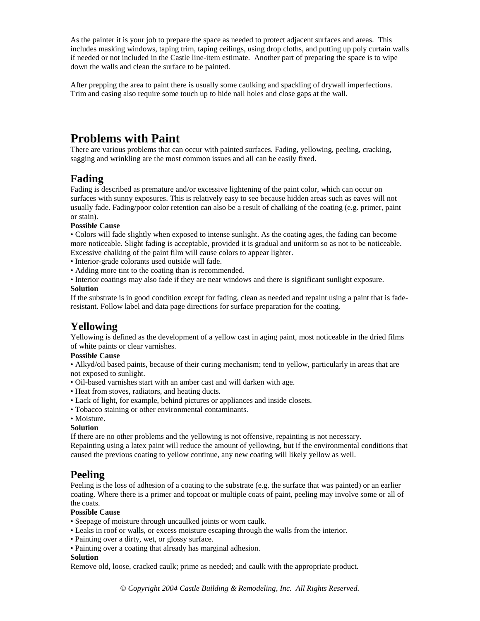As the painter it is your job to prepare the space as needed to protect adjacent surfaces and areas. This includes masking windows, taping trim, taping ceilings, using drop cloths, and putting up poly curtain walls if needed or not included in the Castle line-item estimate. Another part of preparing the space is to wipe down the walls and clean the surface to be painted.

After prepping the area to paint there is usually some caulking and spackling of drywall imperfections. Trim and casing also require some touch up to hide nail holes and close gaps at the wall.

# **Problems with Paint**

There are various problems that can occur with painted surfaces. Fading, yellowing, peeling, cracking, sagging and wrinkling are the most common issues and all can be easily fixed.

## **Fading**

Fading is described as premature and/or excessive lightening of the paint color, which can occur on surfaces with sunny exposures. This is relatively easy to see because hidden areas such as eaves will not usually fade. Fading/poor color retention can also be a result of chalking of the coating (e.g. primer, paint or stain).

#### **Possible Cause**

• Colors will fade slightly when exposed to intense sunlight. As the coating ages, the fading can become more noticeable. Slight fading is acceptable, provided it is gradual and uniform so as not to be noticeable. Excessive chalking of the paint film will cause colors to appear lighter.

- Interior-grade colorants used outside will fade.
- Adding more tint to the coating than is recommended.
- Interior coatings may also fade if they are near windows and there is significant sunlight exposure.

#### **Solution**

If the substrate is in good condition except for fading, clean as needed and repaint using a paint that is faderesistant. Follow label and data page directions for surface preparation for the coating.

# **Yellowing**

Yellowing is defined as the development of a yellow cast in aging paint, most noticeable in the dried films of white paints or clear varnishes.

#### **Possible Cause**

• Alkyd/oil based paints, because of their curing mechanism; tend to yellow, particularly in areas that are not exposed to sunlight.

- Oil-based varnishes start with an amber cast and will darken with age.
- Heat from stoves, radiators, and heating ducts.
- Lack of light, for example, behind pictures or appliances and inside closets.
- Tobacco staining or other environmental contaminants.
- Moisture.

#### **Solution**

If there are no other problems and the yellowing is not offensive, repainting is not necessary.

Repainting using a latex paint will reduce the amount of yellowing, but if the environmental conditions that caused the previous coating to yellow continue, any new coating will likely yellow as well.

## **Peeling**

Peeling is the loss of adhesion of a coating to the substrate (e.g. the surface that was painted) or an earlier coating. Where there is a primer and topcoat or multiple coats of paint, peeling may involve some or all of the coats.

#### **Possible Cause**

- Seepage of moisture through uncaulked joints or worn caulk.
- Leaks in roof or walls, or excess moisture escaping through the walls from the interior.
- Painting over a dirty, wet, or glossy surface.
- Painting over a coating that already has marginal adhesion.

#### **Solution**

Remove old, loose, cracked caulk; prime as needed; and caulk with the appropriate product.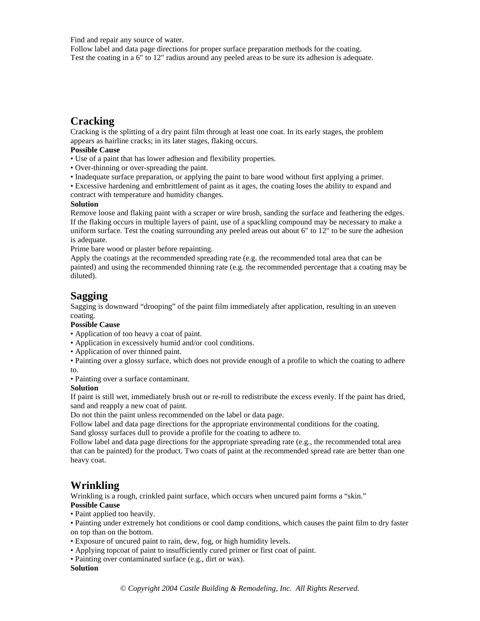Find and repair any source of water.

Follow label and data page directions for proper surface preparation methods for the coating. Test the coating in a 6" to 12" radius around any peeled areas to be sure its adhesion is adequate.

# **Cracking**

Cracking is the splitting of a dry paint film through at least one coat. In its early stages, the problem appears as hairline cracks; in its later stages, flaking occurs.

#### **Possible Cause**

- Use of a paint that has lower adhesion and flexibility properties.
- Over-thinning or over-spreading the paint.
- Inadequate surface preparation, or applying the paint to bare wood without first applying a primer.
- Excessive hardening and embrittlement of paint as it ages, the coating loses the ability to expand and contract with temperature and humidity changes.

#### **Solution**

Remove loose and flaking paint with a scraper or wire brush, sanding the surface and feathering the edges. If the flaking occurs in multiple layers of paint, use of a spackling compound may be necessary to make a uniform surface. Test the coating surrounding any peeled areas out about 6" to 12" to be sure the adhesion is adequate.

Prime bare wood or plaster before repainting.

Apply the coatings at the recommended spreading rate (e.g. the recommended total area that can be painted) and using the recommended thinning rate (e.g. the recommended percentage that a coating may be diluted).

### **Sagging**

Sagging is downward "drooping" of the paint film immediately after application, resulting in an uneven coating.

#### **Possible Cause**

- Application of too heavy a coat of paint.
- Application in excessively humid and/or cool conditions.
- Application of over thinned paint.
- Painting over a glossy surface, which does not provide enough of a profile to which the coating to adhere to.

• Painting over a surface contaminant.

#### **Solution**

If paint is still wet, immediately brush out or re-roll to redistribute the excess evenly. If the paint has dried, sand and reapply a new coat of paint.

Do not thin the paint unless recommended on the label or data page.

Follow label and data page directions for the appropriate environmental conditions for the coating. Sand glossy surfaces dull to provide a profile for the coating to adhere to.

Follow label and data page directions for the appropriate spreading rate (e.g., the recommended total area that can be painted) for the product. Two coats of paint at the recommended spread rate are better than one heavy coat.

## **Wrinkling**

Wrinkling is a rough, crinkled paint surface, which occurs when uncured paint forms a "skin." **Possible Cause**

• Paint applied too heavily.

• Painting under extremely hot conditions or cool damp conditions, which causes the paint film to dry faster on top than on the bottom.

- Exposure of uncured paint to rain, dew, fog, or high humidity levels.
- Applying topcoat of paint to insufficiently cured primer or first coat of paint.
- Painting over contaminated surface (e.g., dirt or wax).

#### **Solution**